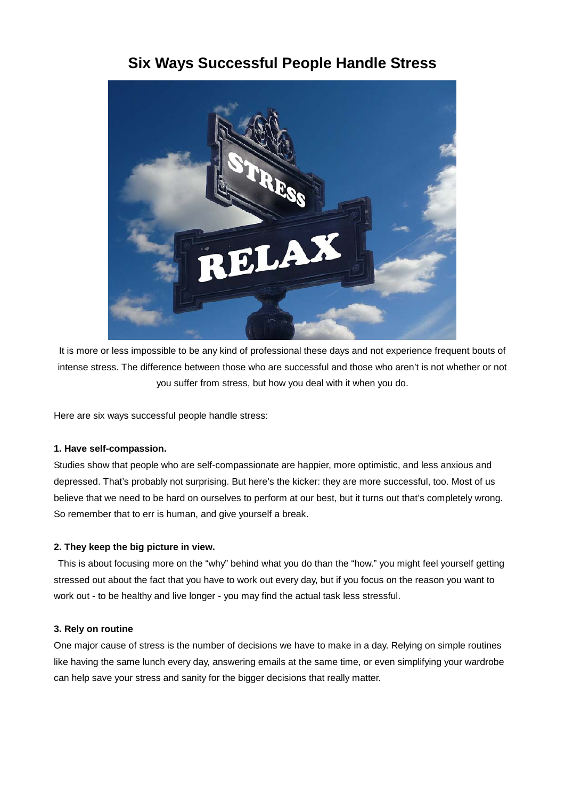# ELA

**Six Ways Successful People Handle Stress**

It is more or less impossible to be any kind of professional these days and not experience frequent bouts of intense stress. The difference between those who are successful and those who aren't is not whether or not you suffer from stress, but how you deal with it when you do.

Here are six ways successful people handle stress:

### **1. Have self-compassion.**

Studies show that people who are self-compassionate are happier, more optimistic, and less anxious and depressed. That's probably not surprising. But here's the kicker: they are more successful, too. Most of us believe that we need to be hard on ourselves to perform at our best, but it turns out that's completely wrong. So remember that to err is human, and give yourself a break.

## **2. They keep the big picture in view.**

This is about focusing more on the "why" behind what you do than the "how." you might feel yourself getting stressed out about the fact that you have to work out every day, but if you focus on the reason you want to work out - to be healthy and live longer - you may find the actual task less stressful.

### **3. Rely on routine**

One major cause of stress is the number of decisions we have to make in a day. Relying on simple routines like having the same lunch every day, answering emails at the same time, or even simplifying your wardrobe can help save your stress and sanity for the bigger decisions that really matter.